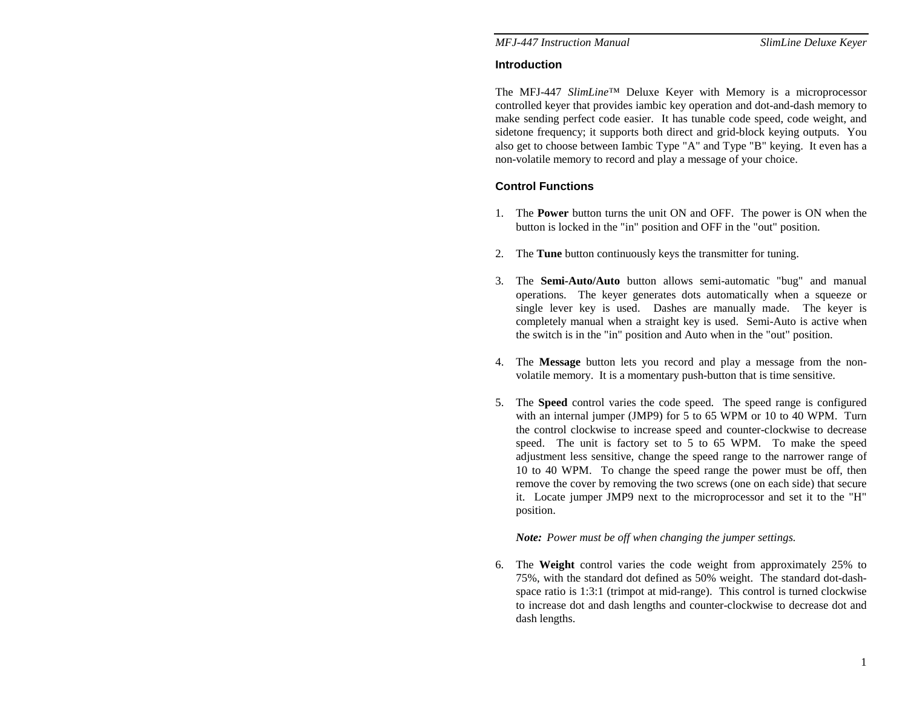## **Introduction**

The MFJ-447 *SlimLine*™ Deluxe Keyer with Memory is a microprocessor controlled keyer that provides iambic key operation and dot-and-dash memory to make sending perfect code easier. It has tunable code speed, code weight, and sidetone frequency; it supports both direct and grid-block keying outputs. You also get to choose between Iambic Type "A" and Type "B" keying. It even has a non-volatile memory to record and play a message of your choice.

# **Control Functions**

- 1. The **Power** button turns the unit ON and OFF. The power is ON when the button is locked in the "in" position and OFF in the "out" position.
- 2. The **Tune** button continuously keys the transmitter for tuning.
- 3. The **Semi-Auto/Auto** button allows semi-automatic "bug" and manual operations. The keyer generates dots automatically when a squeeze or single lever key is used. Dashes are manually made. The keyer is completely manual when a straight key is used. Semi-Auto is active when the switch is in the "in" position and Auto when in the "out" position.
- 4. The **Message** button lets you record and play a message from the nonvolatile memory. It is a momentary push-button that is time sensitive.
- 5. The **Speed** control varies the code speed. The speed range is configured with an internal jumper (JMP9) for 5 to 65 WPM or 10 to 40 WPM. Turn the control clockwise to increase speed and counter-clockwise to decrease speed. The unit is factory set to 5 to 65 WPM. To make the speed adjustment less sensitive, change the speed range to the narrower range of 10 to 40 WPM. To change the speed range the power must be off, then remove the cover by removing the two screws (one on each side) that secure it. Locate jumper JMP9 next to the microprocessor and set it to the "H" position.

## *Note: Power must be off when changing the jumper settings.*

6. The **Weight** control varies the code weight from approximately 25% to 75%, with the standard dot defined as 50% weight. The standard dot-dashspace ratio is 1:3:1 (trimpot at mid-range). This control is turned clockwise to increase dot and dash lengths and counter-clockwise to decrease dot and dash lengths.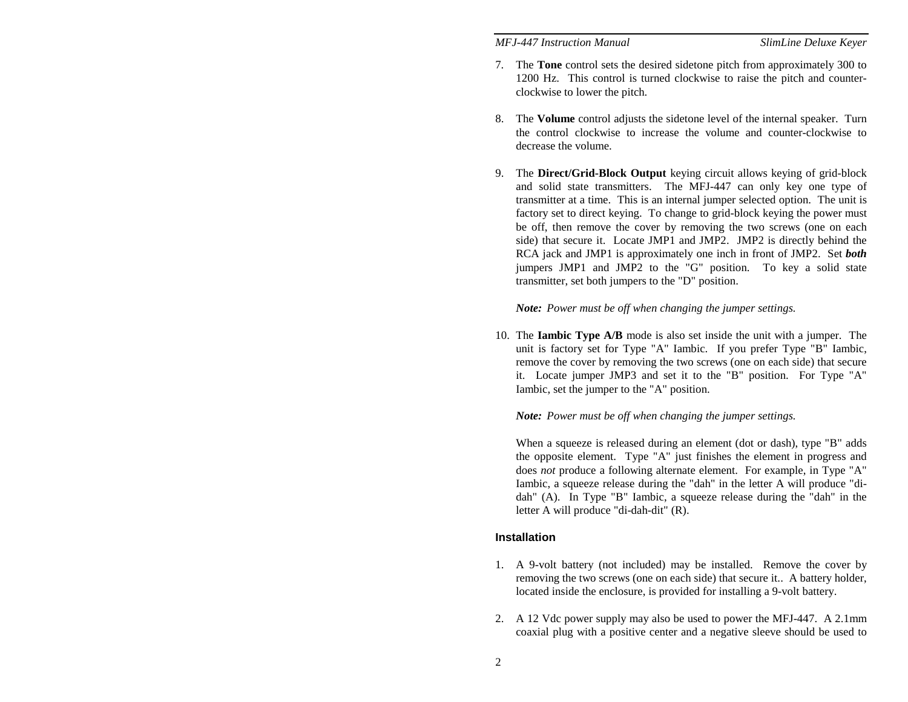- 7. The **Tone** control sets the desired sidetone pitch from approximately 300 to 1200 Hz. This control is turned clockwise to raise the pitch and counterclockwise to lower the pitch.
- 8. The **Volume** control adjusts the sidetone level of the internal speaker. Turn the control clockwise to increase the volume and counter-clockwise to decrease the volume.
- 9. The **Direct/Grid-Block Output** keying circuit allows keying of grid-block and solid state transmitters. The MFJ-447 can only key one type of transmitter at a time. This is an internal jumper selected option. The unit is factory set to direct keying. To change to grid-block keying the power must be off, then remove the cover by removing the two screws (one on each side) that secure it. Locate JMP1 and JMP2. JMP2 is directly behind the RCA jack and JMP1 is approximately one inch in front of JMP2. Set *both* jumpers JMP1 and JMP2 to the "G" position. To key a solid state transmitter, set both jumpers to the "D" position.

#### *Note: Power must be off when changing the jumper settings.*

10. The **Iambic Type A/B** mode is also set inside the unit with a jumper. The unit is factory set for Type "A" Iambic. If you prefer Type "B" Iambic, remove the cover by removing the two screws (one on each side) that secure it. Locate jumper JMP3 and set it to the "B" position. For Type "A" Iambic, set the jumper to the "A" position.

#### *Note: Power must be off when changing the jumper settings.*

When a squeeze is released during an element (dot or dash), type "B" adds the opposite element. Type "A" just finishes the element in progress and does *not* produce a following alternate element. For example, in Type "A" Iambic, a squeeze release during the "dah" in the letter A will produce "didah" (A). In Type "B" Iambic, a squeeze release during the "dah" in the letter A will produce "di-dah-dit" (R).

#### **Installation**

- 1. A 9-volt battery (not included) may be installed. Remove the cover by removing the two screws (one on each side) that secure it.. A battery holder, located inside the enclosure, is provided for installing a 9-volt battery.
- 2. A 12 Vdc power supply may also be used to power the MFJ-447. A 2.1mm coaxial plug with a positive center and a negative sleeve should be used to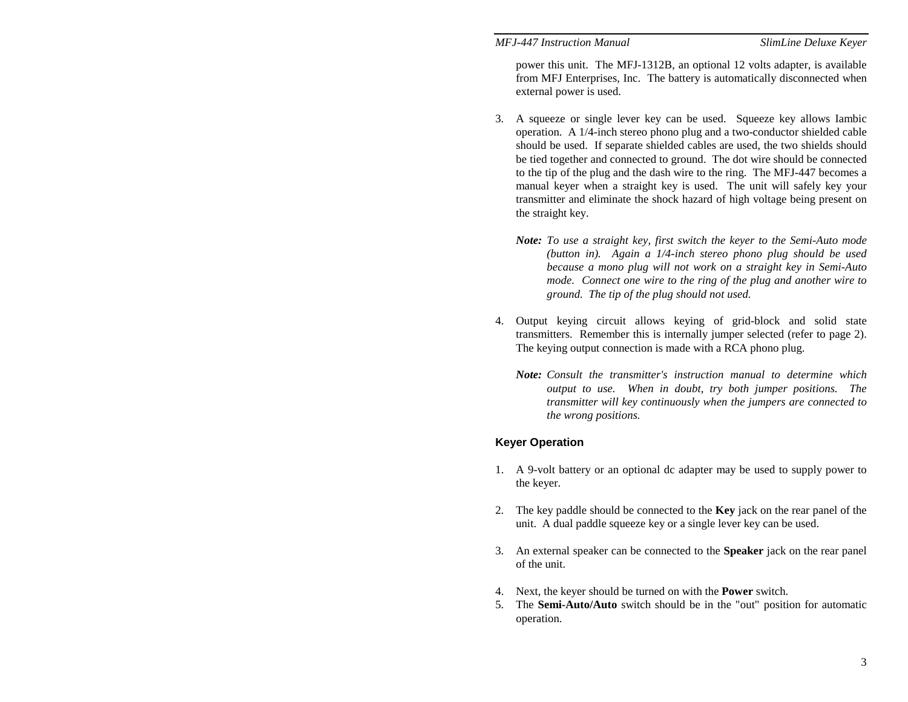power this unit. The MFJ-1312B, an optional 12 volts adapter, is available from MFJ Enterprises, Inc. The battery is automatically disconnected when external power is used.

- 3. A squeeze or single lever key can be used. Squeeze key allows Iambic operation. A 1/4-inch stereo phono plug and a two-conductor shielded cable should be used. If separate shielded cables are used, the two shields should be tied together and connected to ground. The dot wire should be connected to the tip of the plug and the dash wire to the ring. The MFJ-447 becomes a manual keyer when a straight key is used. The unit will safely key your transmitter and eliminate the shock hazard of high voltage being present on the straight key.
	- *Note: To use a straight key, first switch the keyer to the Semi-Auto mode (button in). Again a 1/4-inch stereo phono plug should be used because a mono plug will not work on a straight key in Semi-Auto mode. Connect one wire to the ring of the plug and another wire to ground. The tip of the plug should not used.*
- 4. Output keying circuit allows keying of grid-block and solid state transmitters. Remember this is internally jumper selected (refer to page 2). The keying output connection is made with a RCA phono plug.
	- *Note: Consult the transmitter's instruction manual to determine which output to use. When in doubt, try both jumper positions. The transmitter will key continuously when the jumpers are connected to the wrong positions.*

## **Keyer Operation**

- 1. A 9-volt battery or an optional dc adapter may be used to supply power to the keyer.
- 2. The key paddle should be connected to the **Key** jack on the rear panel of the unit. A dual paddle squeeze key or a single lever key can be used.
- 3. An external speaker can be connected to the **Speaker** jack on the rear panel of the unit.
- 4. Next, the keyer should be turned on with the **Power** switch.
- 5. The **Semi-Auto/Auto** switch should be in the "out" position for automatic operation.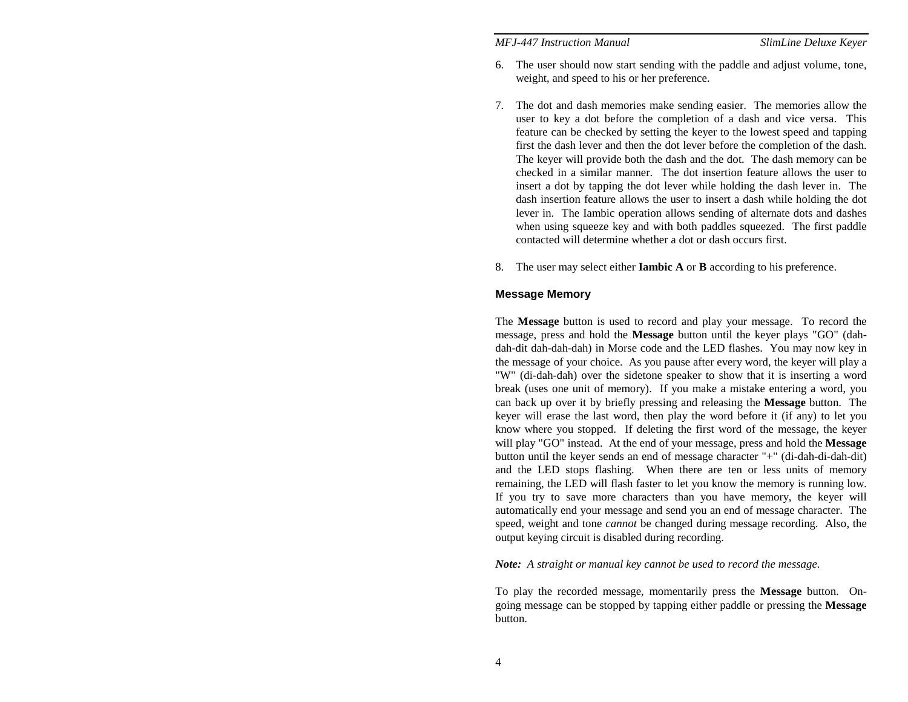- 6. The user should now start sending with the paddle and adjust volume, tone, weight, and speed to his or her preference.
- 7. The dot and dash memories make sending easier. The memories allow the user to key a dot before the completion of a dash and vice versa. This feature can be checked by setting the keyer to the lowest speed and tapping first the dash lever and then the dot lever before the completion of the dash. The keyer will provide both the dash and the dot. The dash memory can be checked in a similar manner. The dot insertion feature allows the user to insert a dot by tapping the dot lever while holding the dash lever in. The dash insertion feature allows the user to insert a dash while holding the dot lever in. The Iambic operation allows sending of alternate dots and dashes when using squeeze key and with both paddles squeezed. The first paddle contacted will determine whether a dot or dash occurs first.
- 8. The user may select either **Iambic A** or **B** according to his preference.

## **Message Memory**

The **Message** button is used to record and play your message. To record the message, press and hold the **Message** button until the keyer plays "GO" (dahdah-dit dah-dah-dah) in Morse code and the LED flashes. You may now key in the message of your choice. As you pause after every word, the keyer will play a "W" (di-dah-dah) over the sidetone speaker to show that it is inserting a word break (uses one unit of memory). If you make a mistake entering a word, you can back up over it by briefly pressing and releasing the **Message** button. The keyer will erase the last word, then play the word before it (if any) to let you know where you stopped. If deleting the first word of the message, the keyer will play "GO" instead. At the end of your message, press and hold the **Message** button until the keyer sends an end of message character "+" (di-dah-di-dah-dit) and the LED stops flashing. When there are ten or less units of memory remaining, the LED will flash faster to let you know the memory is running low. If you try to save more characters than you have memory, the keyer will automatically end your message and send you an end of message character. The speed, weight and tone *cannot* be changed during message recording. Also, the output keying circuit is disabled during recording.

*Note: A straight or manual key cannot be used to record the message.* 

To play the recorded message, momentarily press the **Message** button. Ongoing message can be stopped by tapping either paddle or pressing the **Message** button.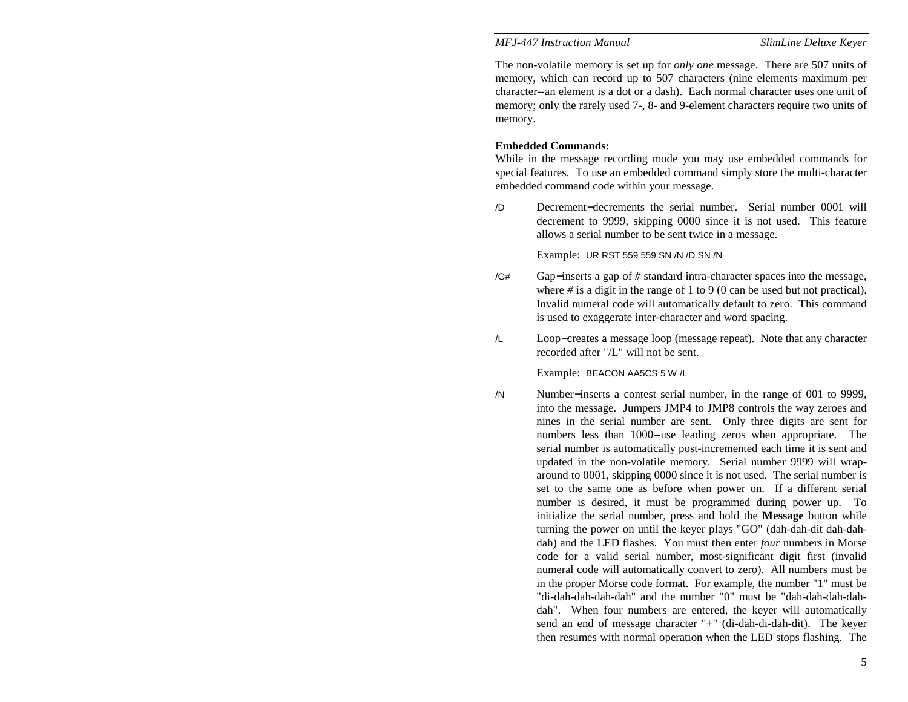The non-volatile memory is set up for *only one* message. There are 507 units of memory, which can record up to 507 characters (nine elements maximum per character--an element is a dot or a dash). Each normal character uses one unit of memory; only the rarely used 7-, 8- and 9-element characters require two units of memory.

## **Embedded Commands:**

While in the message recording mode you may use embedded commands for special features. To use an embedded command simply store the multi-character embedded command code within your message.

/D Decrement−decrements the serial number. Serial number 0001 will decrement to 9999, skipping 0000 since it is not used. This feature allows a serial number to be sent twice in a message.

Example: UR RST 559 559 SN /N /D SN /N

- /G*#* Gap <sup>−</sup>inserts a gap of *#* standard intra-character spaces into the message, where *#* is a digit in the range of 1 to 9 (0 can be used but not practical). Invalid numeral code will automatically default to zero. This command is used to exaggerate inter-character and word spacing.
- /L Loop <sup>−</sup>creates a message loop (message repeat). Note that any character recorded after "/L" will not be sent.

#### Example: BEACON AA5CS 5 W /L

/N Number <sup>−</sup>inserts a contest serial number, in the range of 001 to 9999, into the message. Jumpers JMP4 to JMP8 controls the way zeroes and nines in the serial number are sent. Only three digits are sent for numbers less than 1000--use leading zeros when appropriate. The serial number is automatically post-incremented each time it is sent and updated in the non-volatile memory. Serial number 9999 will wraparound to 0001, skipping 0000 since it is not used. The serial number is set to the same one as before when power on. If a different serial number is desired, it must be programmed during power up. To initialize the serial number, press and hold the **Message** button while turning the power on until the keyer plays "GO" (dah-dah-dit dah-dahdah) and the LED flashes. You must then enter *four* numbers in Morse code for a valid serial number, most-significant digit first (invalid numeral code will automatically convert to zero). All numbers must be in the proper Morse code format. For example, the number "1" must be "di-dah-dah-dah-dah" and the number "0" must be "dah-dah-dah-dahdah". When four numbers are entered, the keyer will automatically send an end of message character "+" (di-dah-di-dah-dit). The keyer then resumes with normal operation when the LED stops flashing. The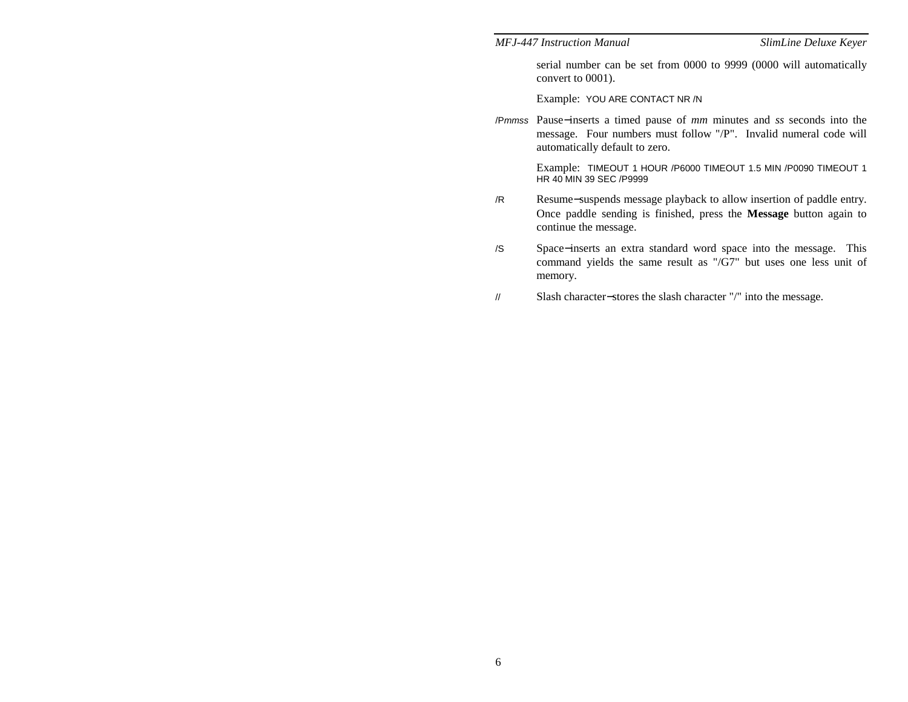serial number can be set from 0000 to 9999 (0000 will automatically convert to 0001).

Example: YOU ARE CONTACT NR /N

/P*mmss* Pause <sup>−</sup>inserts a timed pause of *mm* minutes and *ss* seconds into the message. Four numbers must follow "/P". Invalid numeral code will automatically default to zero.

> Example: TIMEOUT 1 HOUR /P6000 TIMEOUT 1.5 MIN /P0090 TIMEOUT 1 HR 40 MIN 39 SEC /P9999

- /R Resume <sup>−</sup>suspends message playback to allow insertion of paddle entry. Once paddle sending is finished, press the **Message** button again to continue the message.
- /S Space <sup>−</sup>inserts an extra standard word space into the message. This command yields the same result as "/G7" but uses one less unit of memory.
- // Slash character −stores the slash character "/" into the message.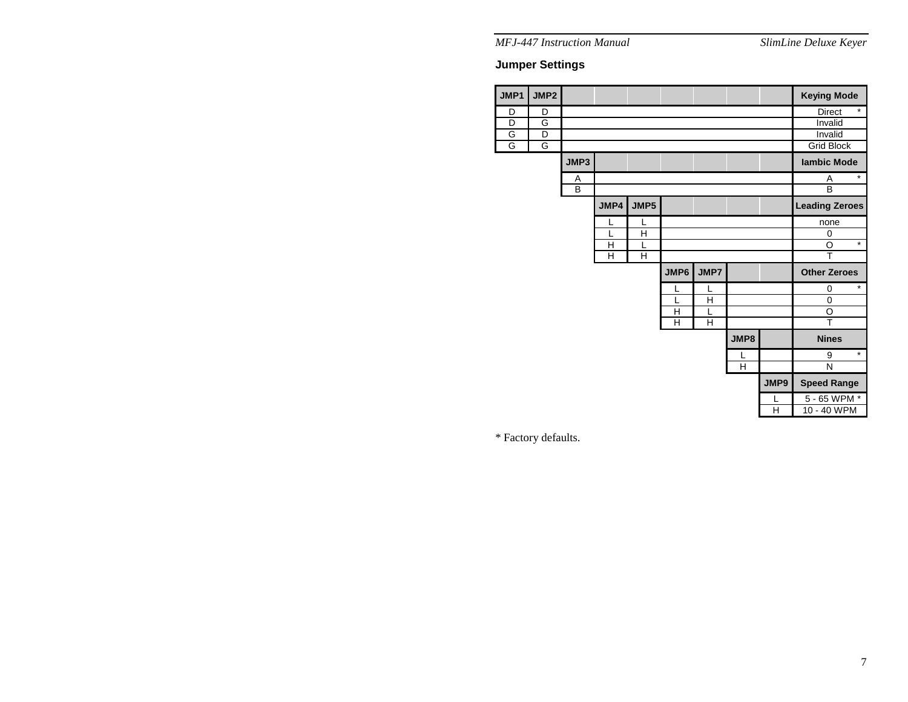# **Jumper Settings**

| <b>JMP1</b>    | JMP2 |                |      |      |      |      |      |      | <b>Keying Mode</b>       |  |  |
|----------------|------|----------------|------|------|------|------|------|------|--------------------------|--|--|
| D              | D    |                |      |      |      |      |      |      | $\star$<br><b>Direct</b> |  |  |
| $\overline{D}$ | G    |                |      |      |      |      |      |      | Invalid                  |  |  |
| G              | D    |                |      |      |      |      |      |      | Invalid                  |  |  |
| G              | G    |                |      |      |      |      |      |      | <b>Grid Block</b>        |  |  |
|                |      | JMP3           |      |      |      |      |      |      | lambic Mode              |  |  |
|                |      | Α              |      |      |      |      |      |      | $\star$<br>A             |  |  |
|                |      | $\overline{B}$ |      |      |      |      |      |      | $\overline{B}$           |  |  |
|                |      |                | JMP4 | JMP5 |      |      |      |      | <b>Leading Zeroes</b>    |  |  |
|                |      |                | L    | L    |      |      |      |      | none                     |  |  |
|                |      |                | L    | H    |      |      |      |      | $\mathbf 0$              |  |  |
|                |      |                | H    | L    |      |      |      |      | $\ast$<br>O              |  |  |
|                |      |                | Н    | H    |      |      |      | T    |                          |  |  |
|                |      |                |      |      | JMP6 | JMP7 |      |      | <b>Other Zeroes</b>      |  |  |
|                |      |                |      |      | L    | L    |      |      | $\star$<br>$\mathbf 0$   |  |  |
|                |      |                |      |      |      | Н    |      |      | $\mathbf 0$              |  |  |
|                |      |                |      |      | H    | L    |      |      | O                        |  |  |
|                |      |                |      |      | н    | H    |      |      | $\overline{\mathsf{T}}$  |  |  |
|                |      |                |      |      |      |      | JMP8 |      | <b>Nines</b>             |  |  |
|                |      |                |      |      |      |      | L    |      | $\star$<br>9             |  |  |
|                |      |                |      |      |      |      | H    |      | N                        |  |  |
|                |      |                |      |      |      |      |      | JMP9 | <b>Speed Range</b>       |  |  |
|                |      |                |      |      |      |      |      | L    | 5 - 65 WPM *             |  |  |
|                |      |                |      |      |      |      |      | H    | 10 - 40 WPM              |  |  |

\* Factory defaults.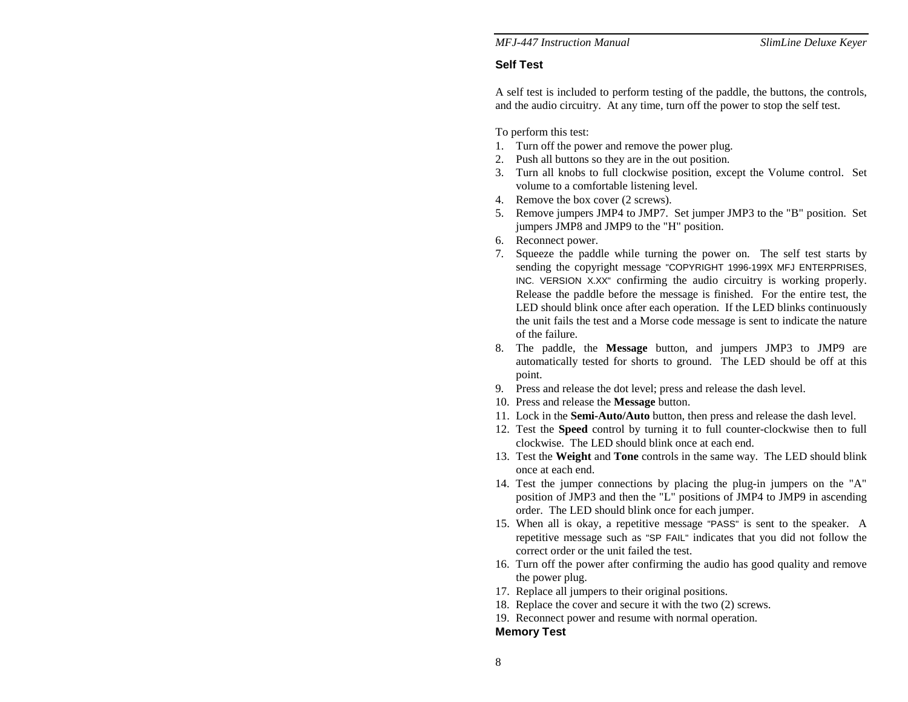## **Self Test**

A self test is included to perform testing of the paddle, the buttons, the controls, and the audio circuitry. At any time, turn off the power to stop the self test.

To perform this test:

- 1. Turn off the power and remove the power plug.
- 2. Push all buttons so they are in the out position.
- 3. Turn all knobs to full clockwise position, except the Volume control. Set volume to a comfortable listening level.
- 4. Remove the box cover (2 screws).
- 5. Remove jumpers JMP4 to JMP7. Set jumper JMP3 to the "B" position. Set jumpers JMP8 and JMP9 to the "H" position.
- 6. Reconnect power.
- 7. Squeeze the paddle while turning the power on. The self test starts by sending the copyright message "COPYRIGHT 1996-199X MFJ ENTERPRISES, INC. VERSION X.XX" confirming the audio circuitry is working properly. Release the paddle before the message is finished. For the entire test, the LED should blink once after each operation. If the LED blinks continuously the unit fails the test and a Morse code message is sent to indicate the nature of the failure.
- 8. The paddle, the **Message** button, and jumpers JMP3 to JMP9 are automatically tested for shorts to ground. The LED should be off at this point.
- 9. Press and release the dot level; press and release the dash level.
- 10. Press and release the **Message** button.
- 11. Lock in the **Semi-Auto/Auto** button, then press and release the dash level.
- 12. Test the **Speed** control by turning it to full counter-clockwise then to full clockwise. The LED should blink once at each end.
- 13. Test the **Weight** and **Tone** controls in the same way. The LED should blink once at each end.
- 14. Test the jumper connections by placing the plug-in jumpers on the "A" position of JMP3 and then the "L" positions of JMP4 to JMP9 in ascending order. The LED should blink once for each jumper.
- 15. When all is okay, a repetitive message "PASS" is sent to the speaker. A repetitive message such as "SP FAIL" indicates that you did not follow the correct order or the unit failed the test.
- 16. Turn off the power after confirming the audio has good quality and remove the power plug.
- 17. Replace all jumpers to their original positions.
- 18. Replace the cover and secure it with the two (2) screws.
- 19. Reconnect power and resume with normal operation.

## **Memory Test**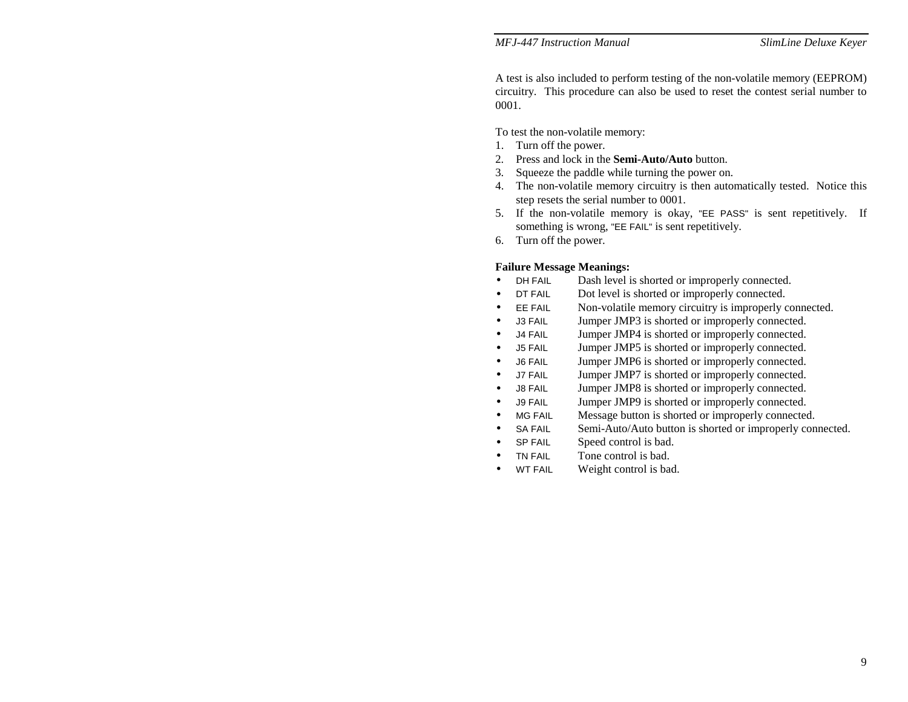A test is also included to perform testing of the non-volatile memory (EEPROM) circuitry. This procedure can also be used to reset the contest serial number to 0001.

To test the non-volatile memory:

- 1. Turn off the power.
- 2. Press and lock in the **Semi-Auto/Auto** button.
- 3. Squeeze the paddle while turning the power on.
- 4. The non-volatile memory circuitry is then automatically tested. Notice this step resets the serial number to 0001.
- 5. If the non-volatile memory is okay, "EE PASS" is sent repetitively. If something is wrong, "EE FAIL" is sent repetitively.
- 6. Turn off the power.

### **Failure Message Meanings:**

- DH FAIL Dash level is shorted or improperly connected.
- DT FAIL Dot level is shorted or improperly connected.
- EE FAIL Non-volatile memory circuitry is improperly connected.
- J3 FAIL Jumper JMP3 is shorted or improperly connected.
- J4 FAIL Jumper JMP4 is shorted or improperly connected.
- J5 FAIL Jumper JMP5 is shorted or improperly connected.
- J6 FAIL Jumper JMP6 is shorted or improperly connected.
- J7 FAIL Jumper JMP7 is shorted or improperly connected.
- J8 FAIL Jumper JMP8 is shorted or improperly connected.
- J9 FAIL Jumper JMP9 is shorted or improperly connected.
- MG FAIL Message button is shorted or improperly connected.
- SA FAIL Semi-Auto/Auto button is shorted or improperly connected.
- SP FAIL Speed control is bad.
- TN FAIL Tone control is bad.
- WT FAIL Weight control is bad.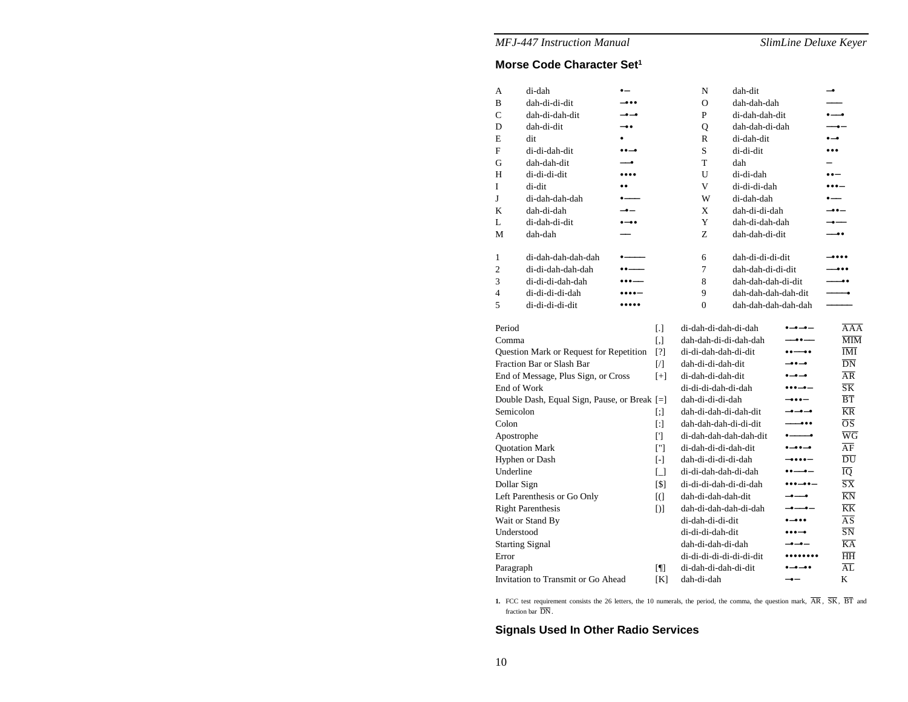# **Morse Code Character Set1**

| А                                            | di-dah               | $\bullet-$                                              |                     | N                                                             | dah-dit                                  |                                                                           | $-•$                    |                                          |
|----------------------------------------------|----------------------|---------------------------------------------------------|---------------------|---------------------------------------------------------------|------------------------------------------|---------------------------------------------------------------------------|-------------------------|------------------------------------------|
| В                                            | dah-di-di-dit        |                                                         |                     | Ω                                                             | dah-dah-dah                              |                                                                           |                         |                                          |
| C                                            | dah-di-dah-dit       | -0-0                                                    |                     | P                                                             | di-dah-dah-dit                           |                                                                           | $---•$                  |                                          |
| D                                            | dah-di-dit           | –••                                                     |                     | Q                                                             | dah-dah-di-dah                           |                                                                           | $-\bullet-$             |                                          |
| E                                            | dit                  |                                                         |                     | R                                                             | di-dah-dit                               |                                                                           | $\bullet - \bullet$     |                                          |
| F                                            | di-di-dah-dit        | $\bullet\bullet-\bullet$                                |                     | S                                                             | di-di-dit                                |                                                                           | $\bullet\bullet\bullet$ |                                          |
| G                                            | dah-dah-dit          | –•                                                      |                     | T                                                             | dah                                      |                                                                           |                         |                                          |
| Н                                            | di-di-di-dit         |                                                         |                     | U                                                             | di-di-dah                                |                                                                           | $\bullet\bullet-$       |                                          |
| I                                            | di-dit               |                                                         |                     | V                                                             | di-di-di-dah                             |                                                                           |                         |                                          |
| J                                            | di-dah-dah-dah       |                                                         |                     | W                                                             | di-dah-dah                               |                                                                           |                         |                                          |
| K                                            | dah-di-dah           | $-$ e $-$                                               |                     | X                                                             | dah-di-di-dah                            |                                                                           | --                      |                                          |
| L                                            | di-dah-di-dit<br>$-$ |                                                         |                     | Y                                                             | dah-di-dah-dah                           |                                                                           | ---                     |                                          |
| М                                            | dah-dah              |                                                         |                     | Z                                                             | dah-dah-di-dit                           |                                                                           | —— ● ●                  |                                          |
| 1                                            | di-dah-dah-dah-dah   |                                                         |                     | 6                                                             | dah-di-di-di-dit                         |                                                                           |                         |                                          |
| $\overline{c}$                               | di-di-dah-dah-dah    | $\bullet$ $\bullet$ $\overline{\phantom{a}}$            |                     | 7                                                             | dah-dah-di-di-dit                        |                                                                           | ---                     |                                          |
| 3                                            | di-di-di-dah-dah     | $\bullet\bullet\bullet\hspace{0.75mm}-\hspace{0.75mm}-$ |                     | 8                                                             | dah-dah-dah-di-dit                       |                                                                           |                         | --                                       |
| 4                                            | di-di-di-di-dah      |                                                         |                     | 9                                                             | dah-dah-dah-dah-dit                      |                                                                           |                         | $\overline{\phantom{a}}$                 |
| 5                                            | di-di-di-di-dit      |                                                         |                     | $\overline{0}$                                                | dah-dah-dah-dah-dah                      |                                                                           |                         |                                          |
| Period                                       |                      |                                                         | $\lceil . \rceil$   | di-dah-di-dah-di-dah                                          |                                          | $- - - -$                                                                 |                         | AAA                                      |
| Comma                                        |                      |                                                         | $\lceil$ , $\rceil$ | dah-dah-di-di-dah-dah                                         | $-0$                                     |                                                                           |                         | $\overline{\text{MIM}}$                  |
| Question Mark or Request for Repetition      |                      |                                                         |                     | di-di-dah-dah-di-dit                                          | $\bullet\bullet\text{---}\bullet\bullet$ |                                                                           |                         | $\overline{\text{IMI}}$                  |
| Fraction Bar or Slash Bar                    |                      |                                                         |                     | dah-di-di-dah-dit                                             |                                          | $-00-0$                                                                   |                         | $\overline{DN}$                          |
| End of Message, Plus Sign, or Cross          |                      |                                                         |                     | di-dah-di-dah-dit                                             |                                          | $\bullet-\bullet-\bullet$                                                 |                         | AR                                       |
| End of Work                                  |                      |                                                         |                     | di-di-di-dah-di-dah                                           |                                          | $\bullet\bullet\bullet-\bullet-$                                          |                         | $\overline{\text{SK}}$                   |
| Double Dash, Equal Sign, Pause, or Break [=] |                      |                                                         |                     | dah-di-di-di-dah                                              |                                          | $-000-$                                                                   |                         | $\overline{B}\overline{T}$               |
| Semicolon                                    |                      |                                                         | $[$                 | dah-di-dah-di-dah-dit<br>$-$ o $-$ o $-$ o                    |                                          |                                                                           |                         | $\overline{\text{KR}}$                   |
| Colon                                        |                      |                                                         |                     | dah-dah-dah-di-di-dit<br>--                                   |                                          |                                                                           |                         | $\overline{\text{OS}}$                   |
| Apostrophe                                   |                      |                                                         |                     | di-dah-dah-dah-dah-dit                                        |                                          | $\bullet$ - $\bullet$                                                     |                         | $\overline{\text{w}}$ G                  |
| <b>Quotation Mark</b>                        |                      |                                                         | $[$                 | di-dah-di-di-dah-dit<br>$\bullet - \bullet \bullet - \bullet$ |                                          |                                                                           |                         | $\overline{\rm AF}$                      |
| Hyphen or Dash                               |                      |                                                         | $[ - ]$             | dah-di-di-di-di-dah                                           |                                          | $-0000-$                                                                  |                         | $\overline{\rm DU}$                      |
| Underline                                    |                      |                                                         | $\Box$              | di-di-dah-dah-di-dah                                          |                                          |                                                                           |                         | $\overline{10}$                          |
| Dollar Sign                                  |                      |                                                         | [\$]                | di-di-di-dah-di-di-dah                                        |                                          | $\bullet\bullet\bullet\textcolor{red}{-\bullet\bullet\textcolor{red}{-}}$ |                         | $\overline{\text{S}}\overline{\text{X}}$ |
| Left Parenthesis or Go Only                  |                      |                                                         | $[$ (               | dah-di-dah-dah-dit<br>-0--0                                   |                                          |                                                                           |                         | $\overline{KN}$                          |
| <b>Right Parenthesis</b>                     |                      |                                                         |                     | dah-di-dah-dah-di-dah<br>$   -$                               |                                          |                                                                           |                         | $\overline{KK}$                          |
| Wait or Stand By                             |                      |                                                         |                     | di-dah-di-di-dit                                              |                                          | $\bullet - \bullet \bullet \bullet$                                       |                         | $\overline{\rm AS}$                      |
| Understood                                   |                      |                                                         |                     | di-di-di-dah-dit                                              |                                          | $\bullet\bullet\bullet-\bullet$                                           |                         | SN                                       |
| <b>Starting Signal</b>                       |                      |                                                         |                     | dah-di-dah-di-dah                                             |                                          | $-\bullet-\bullet-$                                                       |                         | $\overline{KA}$                          |
| Error                                        |                      |                                                         |                     | di-di-di-di-di-di-di-dit                                      |                                          |                                                                           |                         | $\overline{\text{HH}}$                   |
| Paragraph                                    |                      |                                                         |                     | di-dah-di-dah-di-dit<br>$\bullet-\bullet-\bullet\bullet$      |                                          |                                                                           | $\overline{AL}$         |                                          |
| Invitation to Transmit or Go Ahead           |                      |                                                         |                     | dah-di-dah<br>$-$ e $-$                                       |                                          |                                                                           | K                       |                                          |

1. FCC test requirement consists the 26 letters, the 10 numerals, the period, the comma, the question mark,  $\overline{AR}$ ,  $\overline{SK}$ ,  $\overline{BT}$  and fraction bar DN.

# **Signals Used In Other Radio Services**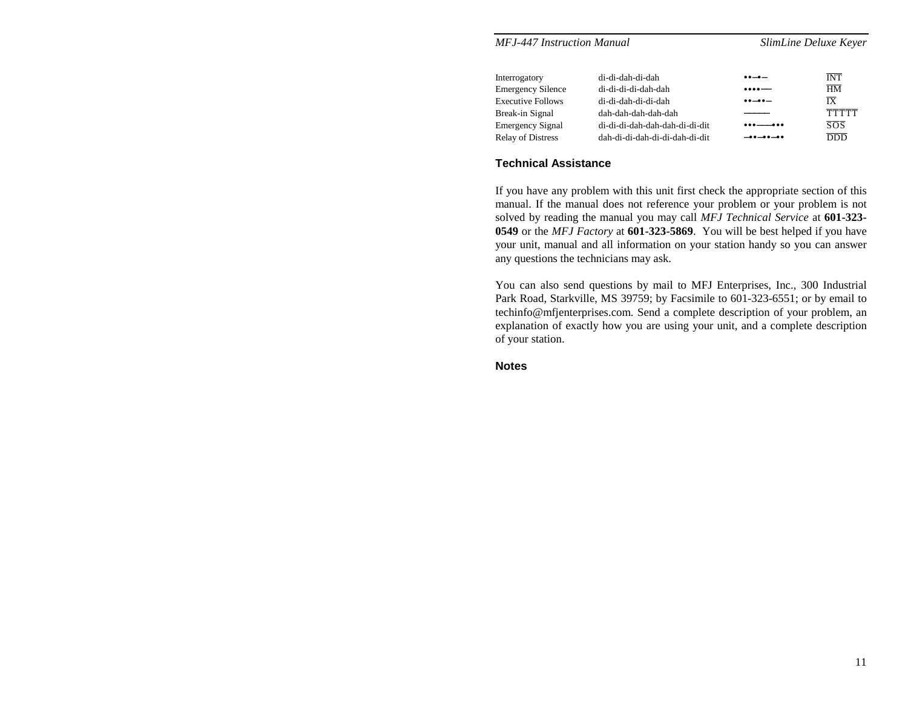| <b>MFJ-447 Instruction Manual</b> |                                | SlimLine Deluxe Keyer                      |                  |  |  |
|-----------------------------------|--------------------------------|--------------------------------------------|------------------|--|--|
| Interrogatory                     | di-di-dah-di-dah               | $\bullet\bullet-\bullet-$                  | <b>INT</b>       |  |  |
| <b>Emergency Silence</b>          | di-di-di-di-dah-dah            | $\bullet\bullet\bullet\bullet\text{---}$   | $\overline{HM}$  |  |  |
| <b>Executive Follows</b>          | di-di-dah-di-di-dah            | $\bullet\bullet\!-\!\bullet\bullet\!-\!\!$ | $\overline{IX}$  |  |  |
| Break-in Signal                   | dah-dah-dah-dah-dah            |                                            | <b>TTTTT</b>     |  |  |
| <b>Emergency Signal</b>           | di-di-di-dah-dah-dah-di-di-dit | ___                                        | $\overline{SOS}$ |  |  |
| <b>Relay of Distress</b>          | dah-di-di-dah-di-di-dah-di-dit | $-00-00-00$                                | <b>DDD</b>       |  |  |

## **Technical Assistance**

If you have any problem with this unit first check the appropriate section of this manual. If the manual does not reference your problem or your problem is not solved by reading the manual you may call *MFJ Technical Service* at **601-323- 0549** or the *MFJ Factory* at **601-323-5869**. You will be best helped if you have your unit, manual and all information on your station handy so you can answer any questions the technicians may ask.

You can also send questions by mail to MFJ Enterprises, Inc., 300 Industrial Park Road, Starkville, MS 39759; by Facsimile to 601-323-6551; or by email to techinfo@mfjenterprises.com. Send a complete description of your problem, an explanation of exactly how you are using your unit, and a complete description of your station.

**Notes**